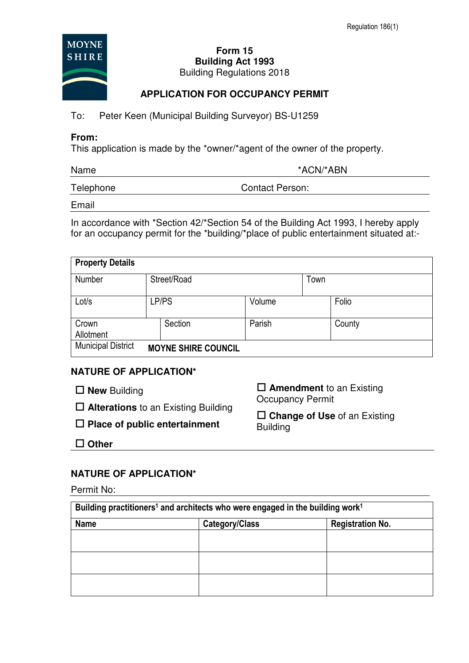

#### **Form 15 Building Act 1993**  Building Regulations 2018

# **APPLICATION FOR OCCUPANCY PERMIT**

To: Peter Keen (Municipal Building Surveyor) BS-U1259

### **From:**

This application is made by the \*owner/\*agent of the owner of the property.

Name \*ACN/\*ABN

Telephone Contact Person:

Email

In accordance with \*Section 42/\*Section 54 of the Building Act 1993, I hereby apply for an occupancy permit for the \*building/\*place of public entertainment situated at:-

| <b>Property Details</b>   |                            |        |      |        |
|---------------------------|----------------------------|--------|------|--------|
| Number                    | Street/Road                |        | Town |        |
| Lot/s                     | LP/PS                      | Volume |      | Folio  |
| Crown<br>Allotment        | Section                    | Parish |      | County |
| <b>Municipal District</b> | <b>MOYNE SHIRE COUNCIL</b> |        |      |        |

## **NATURE OF APPLICATION\***

- **New Building**
- **Alterations** to an Existing Building
- **Place of public entertainment**
- **Amendment** to an Existing Occupancy Permit

 **Change of Use** of an Existing **Building** 

**Other**

## **NATURE OF APPLICATION\***

Permit No:

| Building practitioners <sup>1</sup> and architects who were engaged in the building work <sup>1</sup> |                |                         |  |  |
|-------------------------------------------------------------------------------------------------------|----------------|-------------------------|--|--|
| <b>Name</b>                                                                                           | Category/Class | <b>Registration No.</b> |  |  |
|                                                                                                       |                |                         |  |  |
|                                                                                                       |                |                         |  |  |
|                                                                                                       |                |                         |  |  |
|                                                                                                       |                |                         |  |  |
|                                                                                                       |                |                         |  |  |